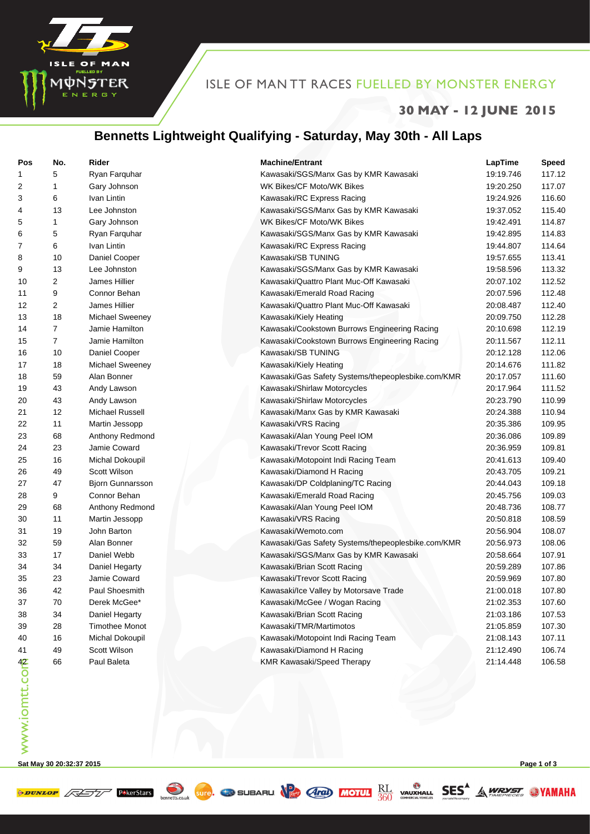

#### ISLE OF MAN TT RACES FUELLED BY MONSTER ENERGY

#### **30 MAY - 12 JUNE 2015**

## **Bennetts Lightweight Qualifying - Saturday, May 30th - All Laps**

| Pos           | No.            | Rider                   | <b>Machine/Entrant</b>                             | LapTime   | <b>Speed</b> |
|---------------|----------------|-------------------------|----------------------------------------------------|-----------|--------------|
| 1             | 5              | Ryan Farquhar           | Kawasaki/SGS/Manx Gas by KMR Kawasaki              | 19:19.746 | 117.12       |
| 2             | 1              | Gary Johnson            | WK Bikes/CF Moto/WK Bikes                          | 19:20.250 | 117.07       |
| 3             | 6              | Ivan Lintin             | Kawasaki/RC Express Racing                         | 19:24.926 | 116.60       |
| 4             | 13             | Lee Johnston            | Kawasaki/SGS/Manx Gas by KMR Kawasaki              | 19:37.052 | 115.40       |
| 5             | 1              | Gary Johnson            | WK Bikes/CF Moto/WK Bikes                          | 19:42.491 | 114.87       |
| 6             | 5              | Ryan Farquhar           | Kawasaki/SGS/Manx Gas by KMR Kawasaki              | 19:42.895 | 114.83       |
| 7             | 6              | Ivan Lintin             | Kawasaki/RC Express Racing                         | 19:44.807 | 114.64       |
| 8             | 10             | Daniel Cooper           | Kawasaki/SB TUNING                                 | 19:57.655 | 113.41       |
| 9             | 13             | Lee Johnston            | Kawasaki/SGS/Manx Gas by KMR Kawasaki              | 19:58.596 | 113.32       |
| 10            | 2              | James Hillier           | Kawasaki/Quattro Plant Muc-Off Kawasaki            | 20:07.102 | 112.52       |
| 11            | 9              | Connor Behan            | Kawasaki/Emerald Road Racing                       | 20:07.596 | 112.48       |
| 12            | 2              | James Hillier           | Kawasaki/Quattro Plant Muc-Off Kawasaki            | 20:08.487 | 112.40       |
| 13            | 18             | Michael Sweeney         | Kawasaki/Kiely Heating                             | 20:09.750 | 112.28       |
| 14            | 7              | Jamie Hamilton          | Kawasaki/Cookstown Burrows Engineering Racing      | 20:10.698 | 112.19       |
| 15            | $\overline{7}$ | Jamie Hamilton          | Kawasaki/Cookstown Burrows Engineering Racing      | 20:11.567 | 112.11       |
| 16            | 10             | Daniel Cooper           | Kawasaki/SB TUNING                                 | 20:12.128 | 112.06       |
| 17            | 18             | Michael Sweeney         | Kawasaki/Kiely Heating                             | 20:14.676 | 111.82       |
| 18            | 59             | Alan Bonner             | Kawasaki/Gas Safety Systems/thepeoplesbike.com/KMR | 20:17.057 | 111.60       |
| 19            | 43             | Andy Lawson             | Kawasaki/Shirlaw Motorcycles                       | 20:17.964 | 111.52       |
| 20            | 43             | Andy Lawson             | Kawasaki/Shirlaw Motorcycles                       | 20:23.790 | 110.99       |
| 21            | 12             | Michael Russell         | Kawasaki/Manx Gas by KMR Kawasaki                  | 20:24.388 | 110.94       |
| 22            | 11             | Martin Jessopp          | Kawasaki/VRS Racing                                | 20:35.386 | 109.95       |
| 23            | 68             | Anthony Redmond         | Kawasaki/Alan Young Peel IOM                       | 20:36.086 | 109.89       |
| 24            | 23             | Jamie Coward            | Kawasaki/Trevor Scott Racing                       | 20:36.959 | 109.81       |
| 25            | 16             | Michal Dokoupil         | Kawasaki/Motopoint Indi Racing Team                | 20:41.613 | 109.40       |
| 26            | 49             | Scott Wilson            | Kawasaki/Diamond H Racing                          | 20:43.705 | 109.21       |
| 27            | 47             | <b>Bjorn Gunnarsson</b> | Kawasaki/DP Coldplaning/TC Racing                  | 20:44.043 | 109.18       |
| 28            | 9              | Connor Behan            | Kawasaki/Emerald Road Racing                       | 20:45.756 | 109.03       |
| 29            | 68             | Anthony Redmond         | Kawasaki/Alan Young Peel IOM                       | 20:48.736 | 108.77       |
| 30            | 11             | Martin Jessopp          | Kawasaki/VRS Racing                                | 20:50.818 | 108.59       |
| 31            | 19             | John Barton             | Kawasaki/Wemoto.com                                | 20:56.904 | 108.07       |
| 32            | 59             | Alan Bonner             | Kawasaki/Gas Safety Systems/thepeoplesbike.com/KMR | 20:56.973 | 108.06       |
| 33            | 17             | Daniel Webb             | Kawasaki/SGS/Manx Gas by KMR Kawasaki              | 20:58.664 | 107.91       |
| 34            | 34             | Daniel Hegarty          | Kawasaki/Brian Scott Racing                        | 20:59.289 | 107.86       |
| 35            | 23             | Jamie Coward            | Kawasaki/Trevor Scott Racing                       | 20:59.969 | 107.80       |
| 36            | 42             | Paul Shoesmith          | Kawasaki/Ice Valley by Motorsave Trade             | 21:00.018 | 107.80       |
| 37            | 70             | Derek McGee*            | Kawasaki/McGee / Wogan Racing                      | 21:02.353 | 107.60       |
| 38            | 34             | Daniel Hegarty          | Kawasaki/Brian Scott Racing                        | 21:03.186 | 107.53       |
| 39            | 28             | <b>Timothee Monot</b>   | Kawasaki/TMR/Martimotos                            | 21:05.859 | 107.30       |
| 40            | 16             | Michal Dokoupil         | Kawasaki/Motopoint Indi Racing Team                | 21:08.143 | 107.11       |
| 41            | 49             | Scott Wilson            | Kawasaki/Diamond H Racing                          | 21:12.490 | 106.74       |
| www.iomtt.com | 66             | Paul Baleta             | KMR Kawasaki/Speed Therapy                         | 21:14.448 | 106.58       |
|               |                |                         |                                                    |           |              |

SUFE. TO SUBARU  $\sqrt{\frac{P}{P}}$  (And) MOTUL  $\frac{RL}{360}$  vauxhall SES<sup>A</sup> A WRYST

**Sat May 30 20:32:37 2015 Page 1 of 3**

**PARESTATE PARESTATS** 

bennetts.co.uk

**SYAMAHA**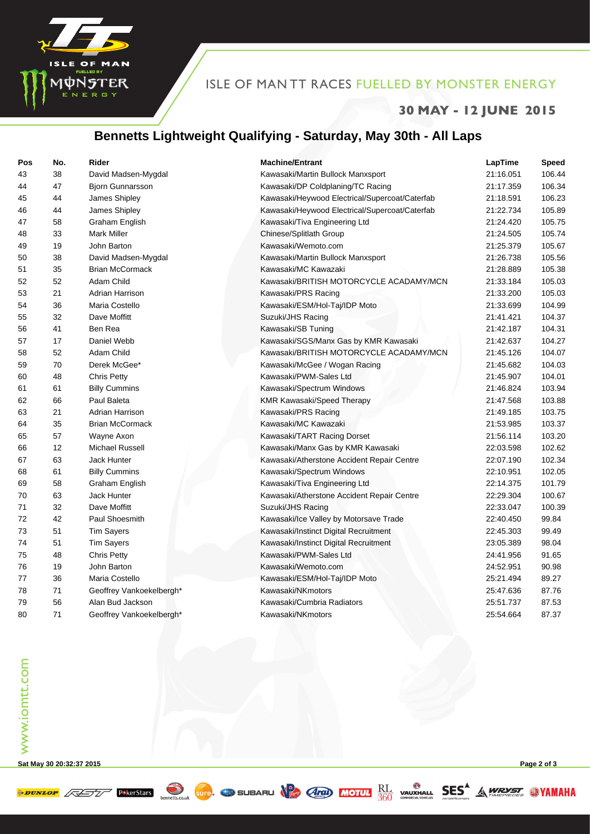

#### ISLE OF MAN TT RACES FUELLED BY MONSTER ENERGY

## **30 MAY - 12 JUNE 2015**

# **Bennetts Lightweight Qualifying - Saturday, May 30th - All Laps**

| Pos | No. | <b>Rider</b>             | <b>Machine/Entrant</b>                         | LapTime   | Speed  |
|-----|-----|--------------------------|------------------------------------------------|-----------|--------|
| 43  | 38  | David Madsen-Mygdal      | Kawasaki/Martin Bullock Manxsport              | 21:16.051 | 106.44 |
| 44  | 47  | <b>Bjorn Gunnarsson</b>  | Kawasaki/DP Coldplaning/TC Racing              | 21:17.359 | 106.34 |
| 45  | 44  | James Shipley            | Kawasaki/Heywood Electrical/Supercoat/Caterfab | 21:18.591 | 106.23 |
| 46  | 44  | James Shipley            | Kawasaki/Heywood Electrical/Supercoat/Caterfab | 21:22.734 | 105.89 |
| 47  | 58  | Graham English           | Kawasaki/Tiva Engineering Ltd                  | 21:24.420 | 105.75 |
| 48  | 33  | <b>Mark Miller</b>       | Chinese/Splitlath Group                        | 21:24.505 | 105.74 |
| 49  | 19  | John Barton              | Kawasaki/Wemoto.com                            | 21:25.379 | 105.67 |
| 50  | 38  | David Madsen-Mygdal      | Kawasaki/Martin Bullock Manxsport              | 21:26.738 | 105.56 |
| 51  | 35  | <b>Brian McCormack</b>   | Kawasaki/MC Kawazaki                           | 21:28.889 | 105.38 |
| 52  | 52  | Adam Child               | Kawasaki/BRITISH MOTORCYCLE ACADAMY/MCN        | 21:33.184 | 105.03 |
| 53  | 21  | Adrian Harrison          | Kawasaki/PRS Racing                            | 21:33.200 | 105.03 |
| 54  | 36  | Maria Costello           | Kawasaki/ESM/Hol-Taj/IDP Moto                  | 21:33.699 | 104.99 |
| 55  | 32  | Dave Moffitt             | Suzuki/JHS Racing                              | 21:41.421 | 104.37 |
| 56  | 41  | Ben Rea                  | Kawasaki/SB Tuning                             | 21:42.187 | 104.31 |
| 57  | 17  | Daniel Webb              | Kawasaki/SGS/Manx Gas by KMR Kawasaki          | 21:42.637 | 104.27 |
| 58  | 52  | Adam Child               | Kawasaki/BRITISH MOTORCYCLE ACADAMY/MCN        | 21:45.126 | 104.07 |
| 59  | 70  | Derek McGee*             | Kawasaki/McGee / Wogan Racing                  | 21:45.682 | 104.03 |
| 60  | 48  | <b>Chris Petty</b>       | Kawasaki/PWM-Sales Ltd                         | 21:45.907 | 104.01 |
| 61  | 61  | <b>Billy Cummins</b>     | Kawasaki/Spectrum Windows                      | 21:46.824 | 103.94 |
| 62  | 66  | Paul Baleta              | KMR Kawasaki/Speed Therapy                     | 21:47.568 | 103.88 |
| 63  | 21  | Adrian Harrison          | Kawasaki/PRS Racing                            | 21:49.185 | 103.75 |
| 64  | 35  | <b>Brian McCormack</b>   | Kawasaki/MC Kawazaki                           | 21:53.985 | 103.37 |
| 65  | 57  | Wayne Axon               | Kawasaki/TART Racing Dorset                    | 21:56.114 | 103.20 |
| 66  | 12  | <b>Michael Russell</b>   | Kawasaki/Manx Gas by KMR Kawasaki              | 22:03.598 | 102.62 |
| 67  | 63  | Jack Hunter              | Kawasaki/Atherstone Accident Repair Centre     | 22:07.190 | 102.34 |
| 68  | 61  | <b>Billy Cummins</b>     | Kawasaki/Spectrum Windows                      | 22:10.951 | 102.05 |
| 69  | 58  | Graham English           | Kawasaki/Tiva Engineering Ltd                  | 22:14.375 | 101.79 |
| 70  | 63  | Jack Hunter              | Kawasaki/Atherstone Accident Repair Centre     | 22:29.304 | 100.67 |
| 71  | 32  | Dave Moffitt             | Suzuki/JHS Racing                              | 22:33.047 | 100.39 |
| 72  | 42  | Paul Shoesmith           | Kawasaki/Ice Valley by Motorsave Trade         | 22:40.450 | 99.84  |
| 73  | 51  | <b>Tim Sayers</b>        | Kawasaki/Instinct Digital Recruitment          | 22:45.303 | 99.49  |
| 74  | 51  | <b>Tim Sayers</b>        | Kawasaki/Instinct Digital Recruitment          | 23:05.389 | 98.04  |
| 75  | 48  | <b>Chris Petty</b>       | Kawasaki/PWM-Sales Ltd                         | 24:41.956 | 91.65  |
| 76  | 19  | John Barton              | Kawasaki/Wemoto.com                            | 24:52.951 | 90.98  |
| 77  | 36  | Maria Costello           | Kawasaki/ESM/Hol-Taj/IDP Moto                  | 25:21.494 | 89.27  |
| 78  | 71  | Geoffrey Vankoekelbergh* | Kawasaki/NKmotors                              | 25:47.636 | 87.76  |
| 79  | 56  | Alan Bud Jackson         | Kawasaki/Cumbria Radiators                     | 25:51.737 | 87.53  |
| 80  | 71  | Geoffrey Vankoekelbergh* | Kawasaki/NKmotors                              | 25:54.664 | 87.37  |

SUIG. TO SUBARU  $\sqrt{\frac{P}{P}}$  (470) MOTUL  $\frac{RL}{360}$  vauxhall SES<sup>A</sup> A WRYST

www.iomtt.com www.iomtt.com

**Sat May 30 20:32:37 2015 Page 2 of 3**

bennetts.co.uk

**WAMAHA** 

 $\phi$  DUNLOP  $\sqrt{\sqrt{257}}$  P\*kerStars